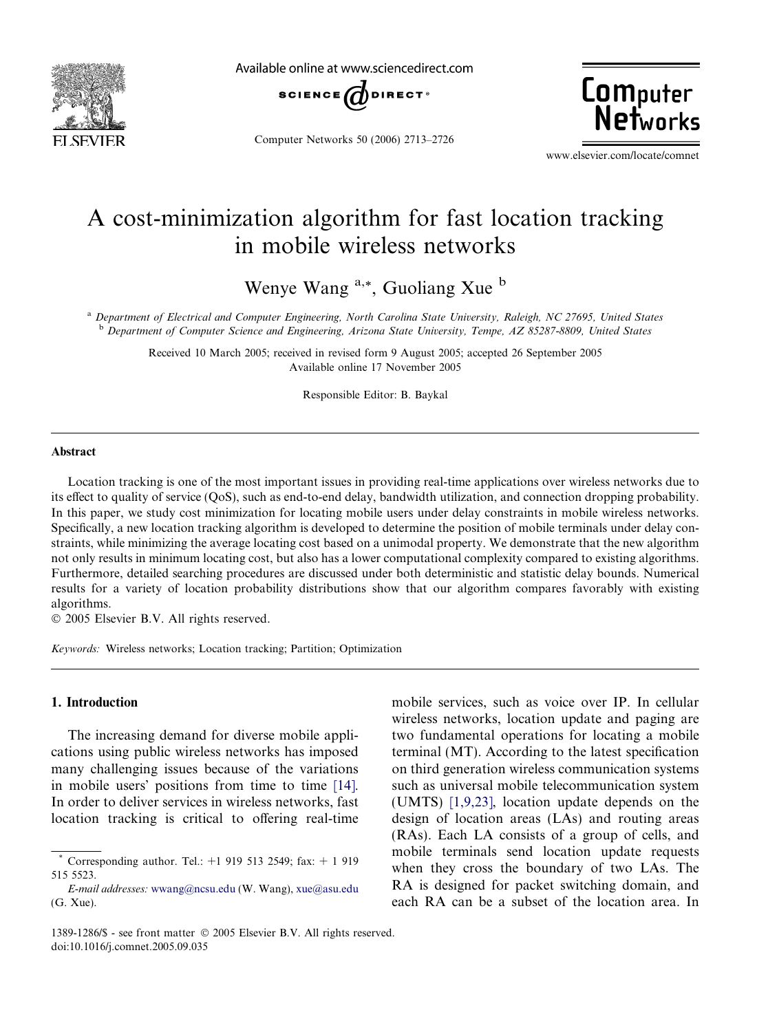

Available online at www.sciencedirect.com



Computer Networks 50 (2006) 2713–2726



www.elsevier.com/locate/comnet

## A cost-minimization algorithm for fast location tracking in mobile wireless networks

Wenye Wang <sup>a,\*</sup>, Guoliang Xue b

<sup>a</sup> Department of Electrical and Computer Engineering, North Carolina State University, Raleigh, NC 27695, United States <sup>b</sup> Department of Computer Science and Engineering, Arizona State University, Tempe, AZ 85287-8809, United States

Received 10 March 2005; received in revised form 9 August 2005; accepted 26 September 2005 Available online 17 November 2005

Responsible Editor: B. Baykal

## Abstract

Location tracking is one of the most important issues in providing real-time applications over wireless networks due to its effect to quality of service (QoS), such as end-to-end delay, bandwidth utilization, and connection dropping probability. In this paper, we study cost minimization for locating mobile users under delay constraints in mobile wireless networks. Specifically, a new location tracking algorithm is developed to determine the position of mobile terminals under delay constraints, while minimizing the average locating cost based on a unimodal property. We demonstrate that the new algorithm not only results in minimum locating cost, but also has a lower computational complexity compared to existing algorithms. Furthermore, detailed searching procedures are discussed under both deterministic and statistic delay bounds. Numerical results for a variety of location probability distributions show that our algorithm compares favorably with existing algorithms.

© 2005 Elsevier B.V. All rights reserved.

Keywords: Wireless networks; Location tracking; Partition; Optimization

## 1. Introduction

The increasing demand for diverse mobile applications using public wireless networks has imposed many challenging issues because of the variations in mobile users' positions from time to time [\[14\]](#page--1-0). In order to deliver services in wireless networks, fast location tracking is critical to offering real-time

mobile services, such as voice over IP. In cellular wireless networks, location update and paging are two fundamental operations for locating a mobile terminal (MT). According to the latest specification on third generation wireless communication systems such as universal mobile telecommunication system (UMTS) [\[1,9,23\]](#page--1-0), location update depends on the design of location areas (LAs) and routing areas (RAs). Each LA consists of a group of cells, and mobile terminals send location update requests when they cross the boundary of two LAs. The RA is designed for packet switching domain, and each RA can be a subset of the location area. In

<sup>\*</sup> Corresponding author. Tel.: +1 919 513 2549; fax: + 1 919 515 5523.

E-mail addresses: [wwang@ncsu.edu](mailto:wwang@ncsu.edu) (W. Wang), [xue@asu.edu](mailto:xue@asu.edu) (G. Xue).

<sup>1389-1286/\$ -</sup> see front matter © 2005 Elsevier B.V. All rights reserved. doi:10.1016/j.comnet.2005.09.035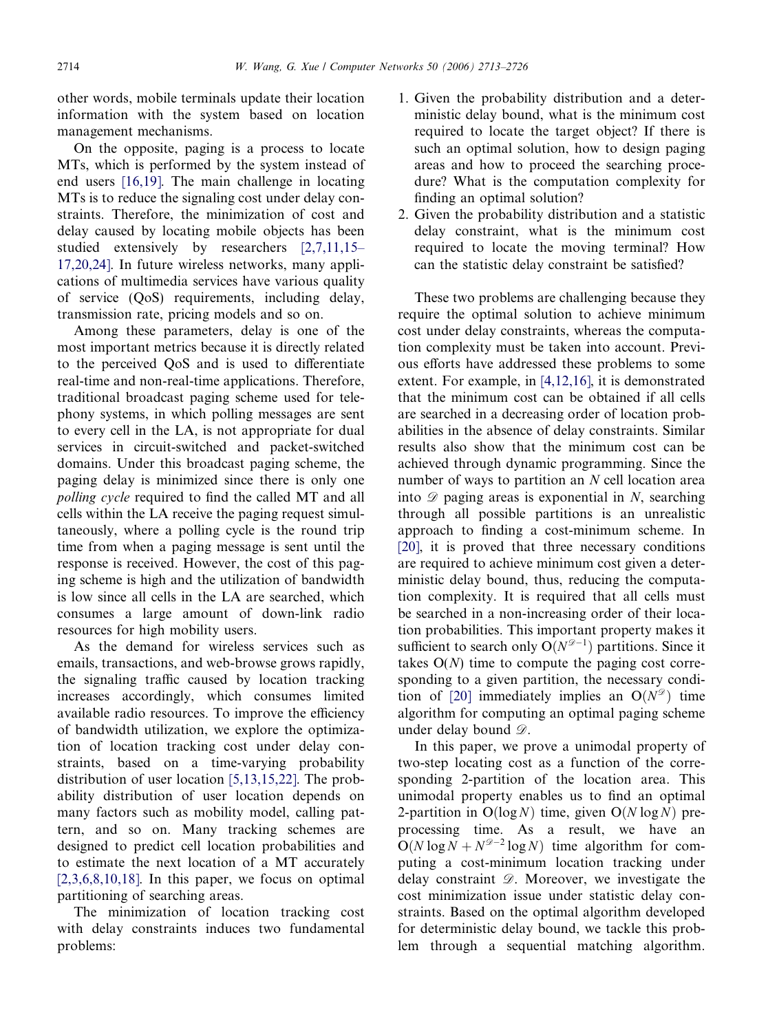other words, mobile terminals update their location information with the system based on location management mechanisms.

On the opposite, paging is a process to locate MTs, which is performed by the system instead of end users [\[16,19\].](#page--1-0) The main challenge in locating MTs is to reduce the signaling cost under delay constraints. Therefore, the minimization of cost and delay caused by locating mobile objects has been studied extensively by researchers [\[2,7,11,15–](#page--1-0) [17,20,24\]](#page--1-0). In future wireless networks, many applications of multimedia services have various quality of service (QoS) requirements, including delay, transmission rate, pricing models and so on.

Among these parameters, delay is one of the most important metrics because it is directly related to the perceived QoS and is used to differentiate real-time and non-real-time applications. Therefore, traditional broadcast paging scheme used for telephony systems, in which polling messages are sent to every cell in the LA, is not appropriate for dual services in circuit-switched and packet-switched domains. Under this broadcast paging scheme, the paging delay is minimized since there is only one polling cycle required to find the called MT and all cells within the LA receive the paging request simultaneously, where a polling cycle is the round trip time from when a paging message is sent until the response is received. However, the cost of this paging scheme is high and the utilization of bandwidth is low since all cells in the LA are searched, which consumes a large amount of down-link radio resources for high mobility users.

As the demand for wireless services such as emails, transactions, and web-browse grows rapidly, the signaling traffic caused by location tracking increases accordingly, which consumes limited available radio resources. To improve the efficiency of bandwidth utilization, we explore the optimization of location tracking cost under delay constraints, based on a time-varying probability distribution of user location [\[5,13,15,22\]](#page--1-0). The probability distribution of user location depends on many factors such as mobility model, calling pattern, and so on. Many tracking schemes are designed to predict cell location probabilities and to estimate the next location of a MT accurately  $[2,3,6,8,10,18]$ . In this paper, we focus on optimal partitioning of searching areas.

The minimization of location tracking cost with delay constraints induces two fundamental problems:

- 1. Given the probability distribution and a deterministic delay bound, what is the minimum cost required to locate the target object? If there is such an optimal solution, how to design paging areas and how to proceed the searching procedure? What is the computation complexity for finding an optimal solution?
- 2. Given the probability distribution and a statistic delay constraint, what is the minimum cost required to locate the moving terminal? How can the statistic delay constraint be satisfied?

These two problems are challenging because they require the optimal solution to achieve minimum cost under delay constraints, whereas the computation complexity must be taken into account. Previous efforts have addressed these problems to some extent. For example, in [\[4,12,16\],](#page--1-0) it is demonstrated that the minimum cost can be obtained if all cells are searched in a decreasing order of location probabilities in the absence of delay constraints. Similar results also show that the minimum cost can be achieved through dynamic programming. Since the number of ways to partition an N cell location area into  $\mathscr{D}$  paging areas is exponential in N, searching through all possible partitions is an unrealistic approach to finding a cost-minimum scheme. In [\[20\],](#page--1-0) it is proved that three necessary conditions are required to achieve minimum cost given a deterministic delay bound, thus, reducing the computation complexity. It is required that all cells must be searched in a non-increasing order of their location probabilities. This important property makes it sufficient to search only  $O(N^{\mathcal{D}-1})$  partitions. Since it takes  $O(N)$  time to compute the paging cost corresponding to a given partition, the necessary condi-tion of [\[20\]](#page--1-0) immediately implies an  $O(N^{\mathcal{D}})$  time algorithm for computing an optimal paging scheme under delay bound  $\mathscr{D}$ .

In this paper, we prove a unimodal property of two-step locating cost as a function of the corresponding 2-partition of the location area. This unimodal property enables us to find an optimal 2-partition in  $O(log N)$  time, given  $O(N log N)$  preprocessing time. As a result, we have an  $O(N \log N + N^{\mathscr{D}-2} \log N)$  time algorithm for computing a cost-minimum location tracking under delay constraint  $\mathcal{D}$ . Moreover, we investigate the cost minimization issue under statistic delay constraints. Based on the optimal algorithm developed for deterministic delay bound, we tackle this problem through a sequential matching algorithm.